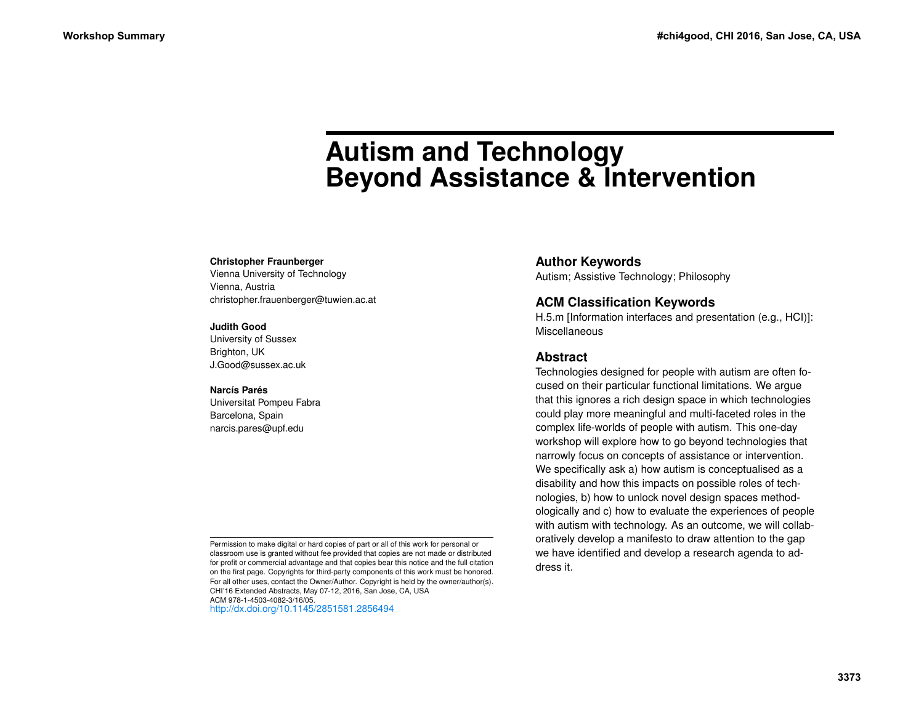# **Autism and Technology Beyond Assistance & Intervention**

#### **Christopher Fraunberger**

Vienna University of Technology Vienna, Austria christopher.frauenberger@tuwien.ac.at

#### **Judith Good**

University of Sussex Brighton, UK J.Good@sussex.ac.uk

#### **Narcís Parés**

Universitat Pompeu Fabra Barcelona, Spain narcis.pares@upf.edu

<http://dx.doi.org/10.1145/2851581.2856494>

## **Author Keywords**

Autism; Assistive Technology; Philosophy

## **ACM Classification Keywords**

H.5.m [Information interfaces and presentation (e.g., HCI)]: **Miscellaneous** 

## **Abstract**

Technologies designed for people with autism are often focused on their particular functional limitations. We argue that this ignores a rich design space in which technologies could play more meaningful and multi-faceted roles in the complex life-worlds of people with autism. This one-day workshop will explore how to go beyond technologies that narrowly focus on concepts of assistance or intervention. We specifically ask a) how autism is conceptualised as a disability and how this impacts on possible roles of technologies, b) how to unlock novel design spaces methodologically and c) how to evaluate the experiences of people with autism with technology. As an outcome, we will collaboratively develop a manifesto to draw attention to the gap we have identified and develop a research agenda to address it.

Permission to make digital or hard copies of part or all of this work for personal or classroom use is granted without fee provided that copies are not made or distributed for profit or commercial advantage and that copies bear this notice and the full citation on the first page. Copyrights for third-party components of this work must be honored. For all other uses, contact the Owner/Author. Copyright is held by the owner/author(s). CHI'16 Extended Abstracts, May 07-12, 2016, San Jose, CA, USA ACM 978-1-4503-4082-3/16/05.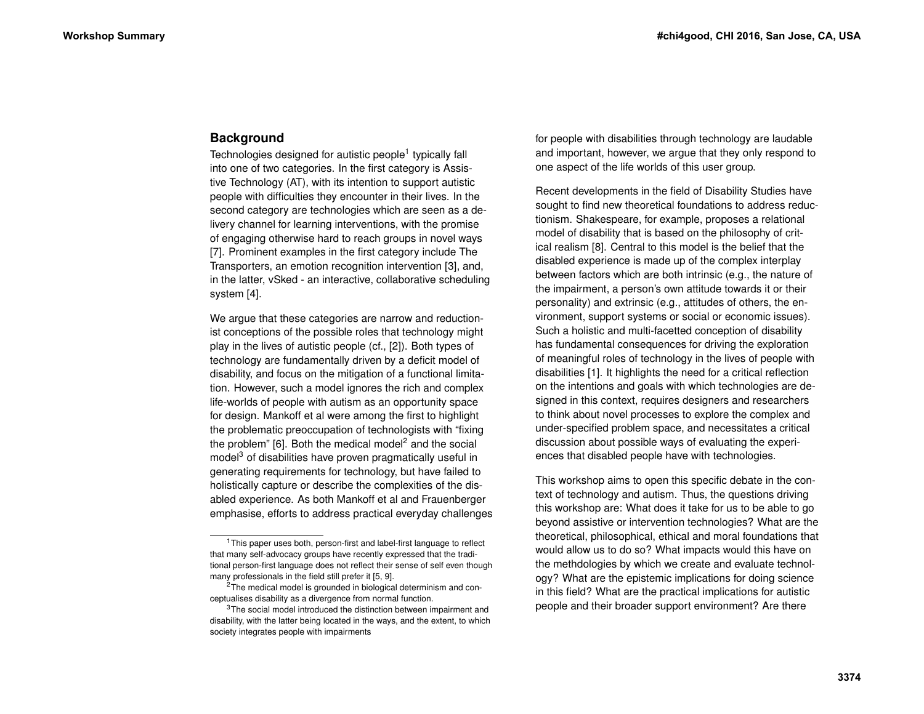## **Background**

Technologies designed for autistic people<sup>[1](#page-1-0)</sup> typically fall into one of two categories. In the first category is Assistive Technology (AT), with its intention to support autistic people with difficulties they encounter in their lives. In the second category are technologies which are seen as a delivery channel for learning interventions, with the promise of engaging otherwise hard to reach groups in novel ways [\[7\]](#page-5-0). Prominent examples in the first category include The Transporters, an emotion recognition intervention [\[3\]](#page-5-1), and, in the latter, vSked - an interactive, collaborative scheduling system [\[4\]](#page-5-2).

We argue that these categories are narrow and reductionist conceptions of the possible roles that technology might play in the lives of autistic people (cf., [\[2\]](#page-5-3)). Both types of technology are fundamentally driven by a deficit model of disability, and focus on the mitigation of a functional limitation. However, such a model ignores the rich and complex life-worlds of people with autism as an opportunity space for design. Mankoff et al were among the first to highlight the problematic preoccupation of technologists with "fixing the problem"  $[6]$ . Both the medical model<sup>[2](#page-1-1)</sup> and the social model<sup>[3](#page-1-2)</sup> of disabilities have proven pragmatically useful in generating requirements for technology, but have failed to holistically capture or describe the complexities of the disabled experience. As both Mankoff et al and Frauenberger emphasise, efforts to address practical everyday challenges

for people with disabilities through technology are laudable and important, however, we argue that they only respond to one aspect of the life worlds of this user group.

Recent developments in the field of Disability Studies have sought to find new theoretical foundations to address reductionism. Shakespeare, for example, proposes a relational model of disability that is based on the philosophy of critical realism [\[8\]](#page-5-7). Central to this model is the belief that the disabled experience is made up of the complex interplay between factors which are both intrinsic (e.g., the nature of the impairment, a person's own attitude towards it or their personality) and extrinsic (e.g., attitudes of others, the environment, support systems or social or economic issues). Such a holistic and multi-facetted conception of disability has fundamental consequences for driving the exploration of meaningful roles of technology in the lives of people with disabilities [\[1\]](#page-4-0). It highlights the need for a critical reflection on the intentions and goals with which technologies are designed in this context, requires designers and researchers to think about novel processes to explore the complex and under-specified problem space, and necessitates a critical discussion about possible ways of evaluating the experiences that disabled people have with technologies.

This workshop aims to open this specific debate in the context of technology and autism. Thus, the questions driving this workshop are: What does it take for us to be able to go beyond assistive or intervention technologies? What are the theoretical, philosophical, ethical and moral foundations that would allow us to do so? What impacts would this have on the methdologies by which we create and evaluate technology? What are the epistemic implications for doing science in this field? What are the practical implications for autistic people and their broader support environment? Are there

<span id="page-1-0"></span><sup>&</sup>lt;sup>1</sup>This paper uses both, person-first and label-first language to reflect that many self-advocacy groups have recently expressed that the traditional person-first language does not reflect their sense of self even though many professionals in the field still prefer it [\[5,](#page-5-5) [9\]](#page-5-6).

<span id="page-1-1"></span> $2$ The medical model is grounded in biological determinism and conceptualises disability as a divergence from normal function.

<span id="page-1-2"></span><sup>&</sup>lt;sup>3</sup>The social model introduced the distinction between impairment and disability, with the latter being located in the ways, and the extent, to which society integrates people with impairments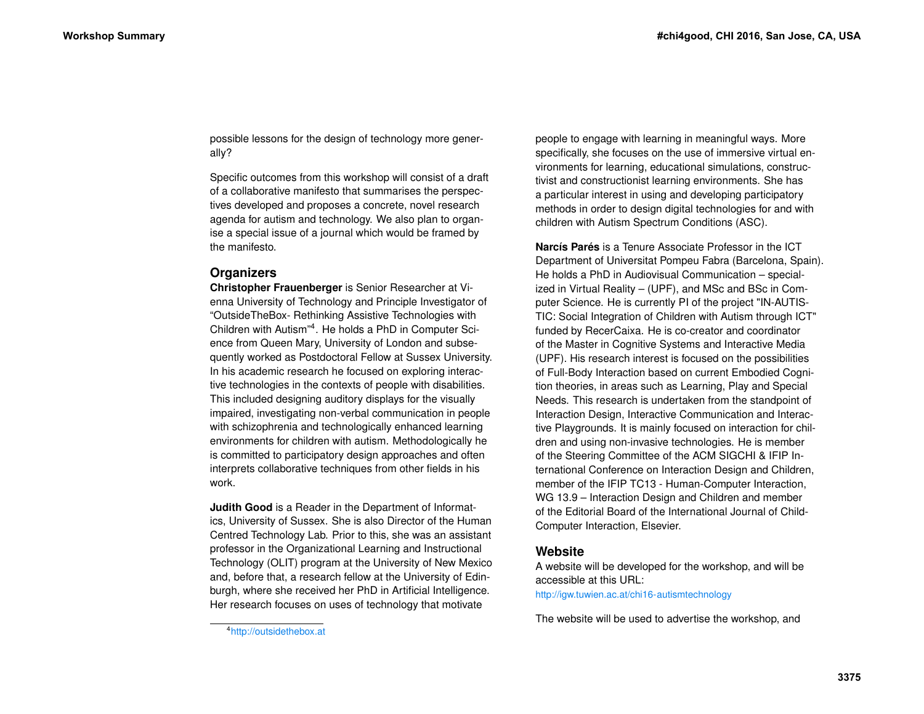possible lessons for the design of technology more generally?

Specific outcomes from this workshop will consist of a draft of a collaborative manifesto that summarises the perspectives developed and proposes a concrete, novel research agenda for autism and technology. We also plan to organise a special issue of a journal which would be framed by the manifesto.

### **Organizers**

**Christopher Frauenberger** is Senior Researcher at Vienna University of Technology and Principle Investigator of "OutsideTheBox- Rethinking Assistive Technologies with Children with Autism"[4](#page-2-0) . He holds a PhD in Computer Science from Queen Mary, University of London and subsequently worked as Postdoctoral Fellow at Sussex University. In his academic research he focused on exploring interactive technologies in the contexts of people with disabilities. This included designing auditory displays for the visually impaired, investigating non-verbal communication in people with schizophrenia and technologically enhanced learning environments for children with autism. Methodologically he is committed to participatory design approaches and often interprets collaborative techniques from other fields in his work.

**Judith Good** is a Reader in the Department of Informatics, University of Sussex. She is also Director of the Human Centred Technology Lab. Prior to this, she was an assistant professor in the Organizational Learning and Instructional Technology (OLIT) program at the University of New Mexico and, before that, a research fellow at the University of Edinburgh, where she received her PhD in Artificial Intelligence. Her research focuses on uses of technology that motivate

people to engage with learning in meaningful ways. More specifically, she focuses on the use of immersive virtual environments for learning, educational simulations, constructivist and constructionist learning environments. She has a particular interest in using and developing participatory methods in order to design digital technologies for and with children with Autism Spectrum Conditions (ASC).

**Narcís Parés** is a Tenure Associate Professor in the ICT Department of Universitat Pompeu Fabra (Barcelona, Spain). He holds a PhD in Audiovisual Communication – specialized in Virtual Reality – (UPF), and MSc and BSc in Computer Science. He is currently PI of the project "IN-AUTIS-TIC: Social Integration of Children with Autism through ICT" funded by RecerCaixa. He is co-creator and coordinator of the Master in Cognitive Systems and Interactive Media (UPF). His research interest is focused on the possibilities of Full-Body Interaction based on current Embodied Cognition theories, in areas such as Learning, Play and Special Needs. This research is undertaken from the standpoint of Interaction Design, Interactive Communication and Interactive Playgrounds. It is mainly focused on interaction for children and using non-invasive technologies. He is member of the Steering Committee of the ACM SIGCHI & IFIP International Conference on Interaction Design and Children, member of the IFIP TC13 - Human-Computer Interaction, WG 13.9 – Interaction Design and Children and member of the Editorial Board of the International Journal of Child-Computer Interaction, Elsevier.

#### **Website**

A website will be developed for the workshop, and will be accessible at this URL:

<http://igw.tuwien.ac.at/chi16-autismtechnology>

The website will be used to advertise the workshop, and

<span id="page-2-0"></span><sup>4</sup><http://outsidethebox.at>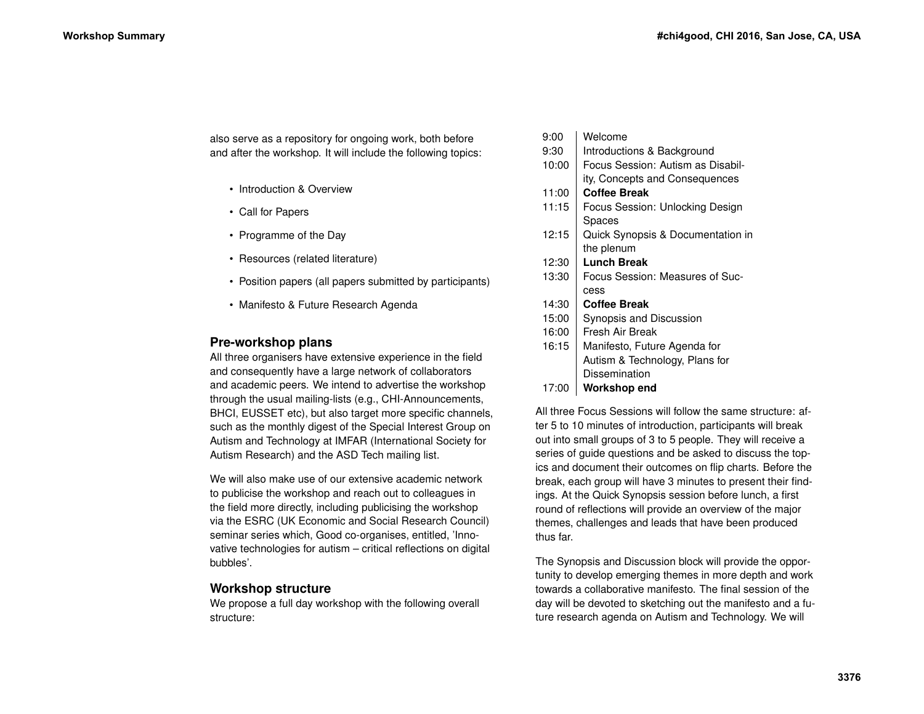also serve as a repository for ongoing work, both before and after the workshop. It will include the following topics:

- Introduction & Overview
- Call for Papers
- Programme of the Day
- Resources (related literature)
- Position papers (all papers submitted by participants)
- Manifesto & Future Research Agenda

## **Pre-workshop plans**

All three organisers have extensive experience in the field and consequently have a large network of collaborators and academic peers. We intend to advertise the workshop through the usual mailing-lists (e.g., CHI-Announcements, BHCI, EUSSET etc), but also target more specific channels, such as the monthly digest of the Special Interest Group on Autism and Technology at IMFAR (International Society for Autism Research) and the ASD Tech mailing list.

We will also make use of our extensive academic network to publicise the workshop and reach out to colleagues in the field more directly, including publicising the workshop via the ESRC (UK Economic and Social Research Council) seminar series which, Good co-organises, entitled, 'Innovative technologies for autism – critical reflections on digital bubbles'.

## **Workshop structure**

We propose a full day workshop with the following overall structure:

- 9:00 Welcome
- 9:30 | Introductions & Background
- 10:00 | Focus Session: Autism as Disability, Concepts and Consequences
- 11:00 **Coffee Break**
- 11:15 | Focus Session: Unlocking Design Spaces
- 12:15 | Quick Synopsis & Documentation in the plenum
- 12:30 **Lunch Break**
- 13:30 | Focus Session: Measures of Success
- 14:30 **Coffee Break**
- 15:00 Synopsis and Discussion
- 16:00 Fresh Air Break
- 16:15 Manifesto, Future Agenda for Autism & Technology, Plans for Dissemination
- 17:00 **Workshop end**

All three Focus Sessions will follow the same structure: after 5 to 10 minutes of introduction, participants will break out into small groups of 3 to 5 people. They will receive a series of guide questions and be asked to discuss the topics and document their outcomes on flip charts. Before the break, each group will have 3 minutes to present their findings. At the Quick Synopsis session before lunch, a first round of reflections will provide an overview of the major themes, challenges and leads that have been produced thus far.

The Synopsis and Discussion block will provide the opportunity to develop emerging themes in more depth and work towards a collaborative manifesto. The final session of the day will be devoted to sketching out the manifesto and a future research agenda on Autism and Technology. We will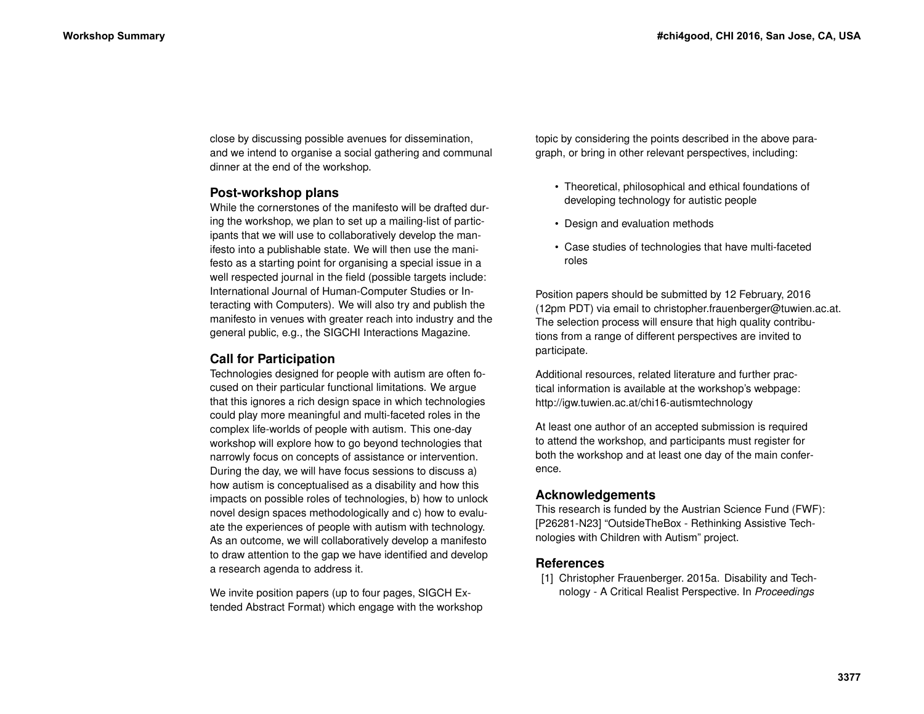close by discussing possible avenues for dissemination, and we intend to organise a social gathering and communal dinner at the end of the workshop.

# **Post-workshop plans**

While the cornerstones of the manifesto will be drafted during the workshop, we plan to set up a mailing-list of participants that we will use to collaboratively develop the manifesto into a publishable state. We will then use the manifesto as a starting point for organising a special issue in a well respected journal in the field (possible targets include: International Journal of Human-Computer Studies or Interacting with Computers). We will also try and publish the manifesto in venues with greater reach into industry and the general public, e.g., the SIGCHI Interactions Magazine.

# **Call for Participation**

Technologies designed for people with autism are often focused on their particular functional limitations. We argue that this ignores a rich design space in which technologies could play more meaningful and multi-faceted roles in the complex life-worlds of people with autism. This one-day workshop will explore how to go beyond technologies that narrowly focus on concepts of assistance or intervention. During the day, we will have focus sessions to discuss a) how autism is conceptualised as a disability and how this impacts on possible roles of technologies, b) how to unlock novel design spaces methodologically and c) how to evaluate the experiences of people with autism with technology. As an outcome, we will collaboratively develop a manifesto to draw attention to the gap we have identified and develop a research agenda to address it.

We invite position papers (up to four pages, SIGCH Extended Abstract Format) which engage with the workshop topic by considering the points described in the above paragraph, or bring in other relevant perspectives, including:

- Theoretical, philosophical and ethical foundations of developing technology for autistic people
- Design and evaluation methods
- Case studies of technologies that have multi-faceted roles

Position papers should be submitted by 12 February, 2016 (12pm PDT) via email to christopher.frauenberger@tuwien.ac.at. The selection process will ensure that high quality contributions from a range of different perspectives are invited to participate.

Additional resources, related literature and further practical information is available at the workshop's webpage: http://igw.tuwien.ac.at/chi16-autismtechnology

At least one author of an accepted submission is required to attend the workshop, and participants must register for both the workshop and at least one day of the main conference.

# **Acknowledgements**

This research is funded by the Austrian Science Fund (FWF): [P26281-N23] "OutsideTheBox - Rethinking Assistive Technologies with Children with Autism" project.

# **References**

<span id="page-4-0"></span>[1] Christopher Frauenberger. 2015a. Disability and Technology - A Critical Realist Perspective. In *Proceedings*